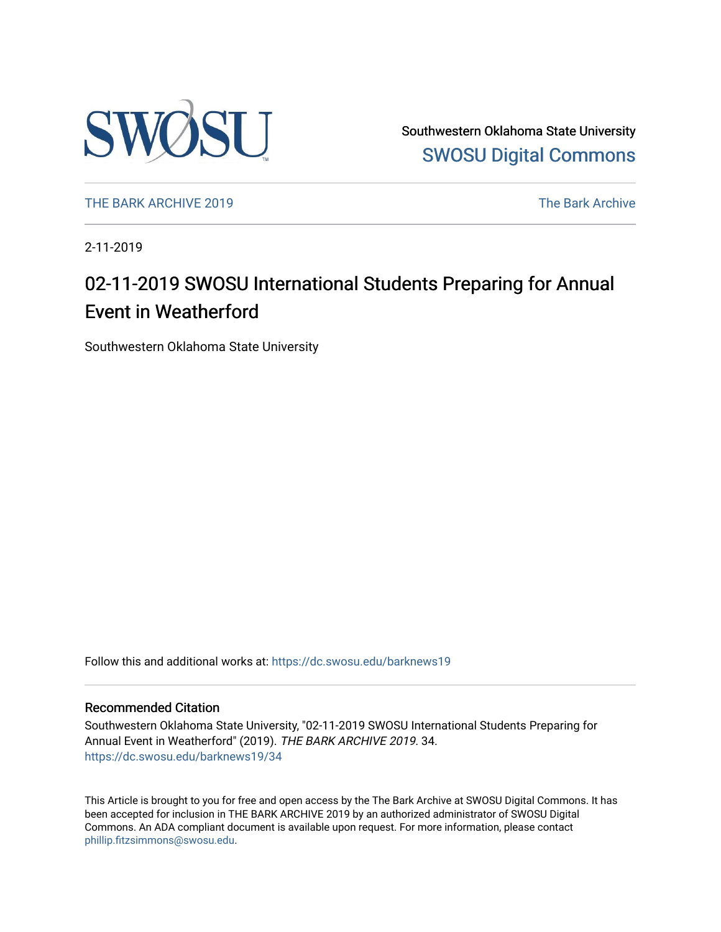

Southwestern Oklahoma State University [SWOSU Digital Commons](https://dc.swosu.edu/) 

[THE BARK ARCHIVE 2019](https://dc.swosu.edu/barknews19) The Bark Archive

2-11-2019

# 02-11-2019 SWOSU International Students Preparing for Annual Event in Weatherford

Southwestern Oklahoma State University

Follow this and additional works at: [https://dc.swosu.edu/barknews19](https://dc.swosu.edu/barknews19?utm_source=dc.swosu.edu%2Fbarknews19%2F34&utm_medium=PDF&utm_campaign=PDFCoverPages)

#### Recommended Citation

Southwestern Oklahoma State University, "02-11-2019 SWOSU International Students Preparing for Annual Event in Weatherford" (2019). THE BARK ARCHIVE 2019. 34. [https://dc.swosu.edu/barknews19/34](https://dc.swosu.edu/barknews19/34?utm_source=dc.swosu.edu%2Fbarknews19%2F34&utm_medium=PDF&utm_campaign=PDFCoverPages) 

This Article is brought to you for free and open access by the The Bark Archive at SWOSU Digital Commons. It has been accepted for inclusion in THE BARK ARCHIVE 2019 by an authorized administrator of SWOSU Digital Commons. An ADA compliant document is available upon request. For more information, please contact [phillip.fitzsimmons@swosu.edu](mailto:phillip.fitzsimmons@swosu.edu).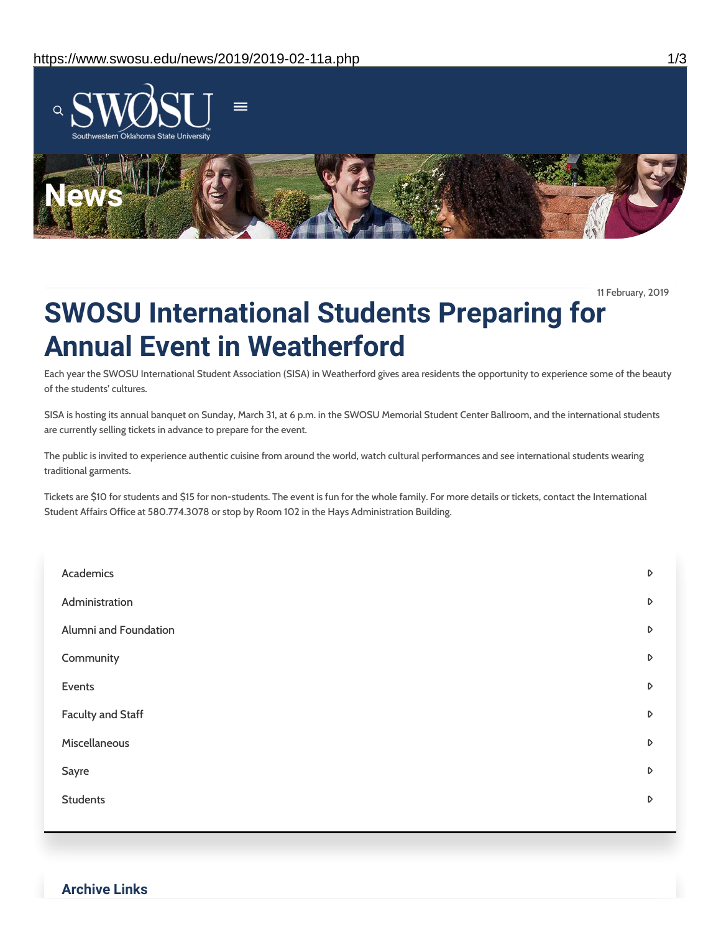

11 February, 2019

# **SWOSU International Students Preparing for Annual Event in Weatherford**

Each year the SWOSU International Student Association (SISA) in Weatherford gives area residents the opportunity to experience some of the beauty of the students' cultures.

SISA is hosting its annual banquet on Sunday, March 31, at 6 p.m. in the SWOSU Memorial Student Center Ballroom, and the international students are currently selling tickets in advance to prepare for the event.

The public is invited to experience authentic cuisine from around the world, watch cultural performances and see international students wearing traditional garments.

Tickets are \$10 for students and \$15 for non-students. The event is fun for the whole family. For more details or tickets, contact the International Student Affairs Office at 580.774.3078 or stop by Room 102 in the Hays Administration Building.

| Academics             | D                |
|-----------------------|------------------|
| Administration        | D                |
| Alumni and Foundation | $\triangleright$ |
| Community             | $\triangleright$ |
| Events                | $\triangleright$ |
| Faculty and Staff     | D                |
| Miscellaneous         | $\triangleright$ |
| Sayre                 | D                |
| <b>Students</b>       | D                |
|                       |                  |

#### **Archive Links**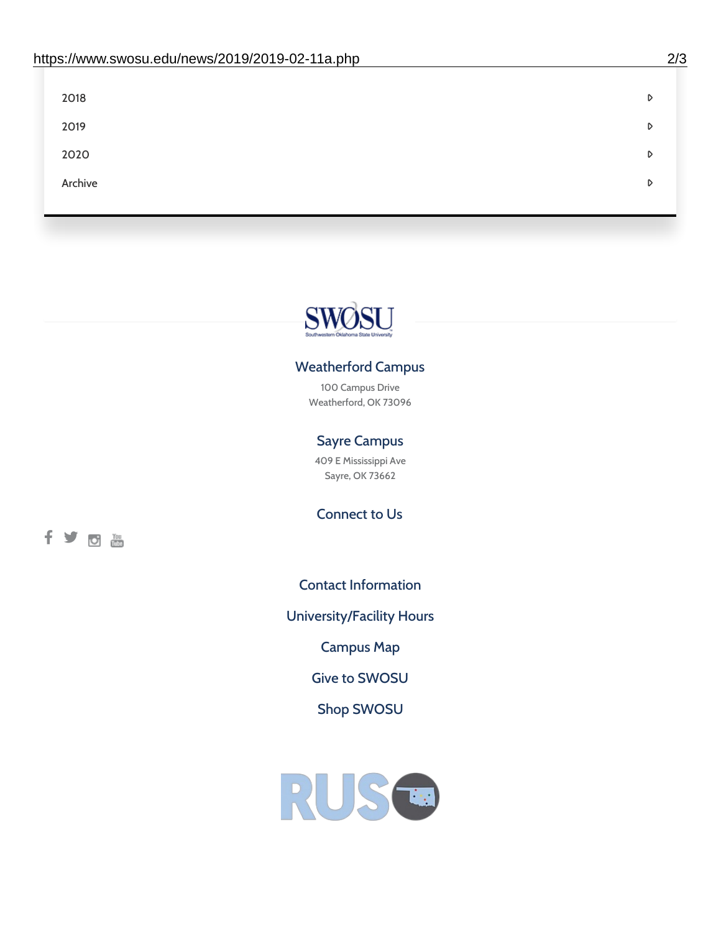| 2018    | D |
|---------|---|
| 2019    | D |
| 2020    | D |
| Archive | D |
|         |   |



### Weatherford Campus

100 Campus Drive Weatherford, OK 73096

## Sayre Campus

409 E Mississippi Ave Sayre, OK 73662

Connect to Us



Contact [Information](https://www.swosu.edu/about/contact.php)

[University/Facility](https://www.swosu.edu/about/operating-hours.php) Hours

[Campus](https://map.concept3d.com/?id=768#!ct/10964,10214,10213,10212,10205,10204,10203,10202,10136,10129,10128,0,31226,10130,10201,10641,0) Map

Give to [SWOSU](https://standingfirmly.com/donate)

Shop [SWOSU](https://shopswosu.merchorders.com/)